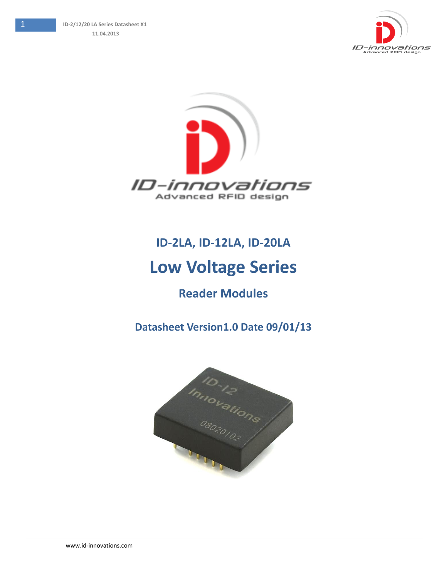



# **ID-2LA, ID-12LA, ID-20LA**

## **Low Voltage Series**

### **Reader Modules**

### **Datasheet Version1.0 Date 09/01/13**

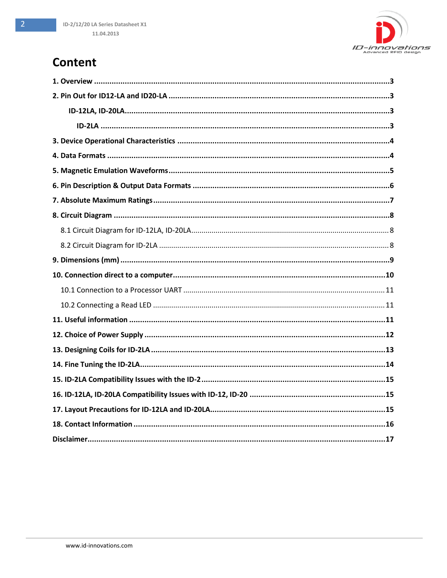### **Content**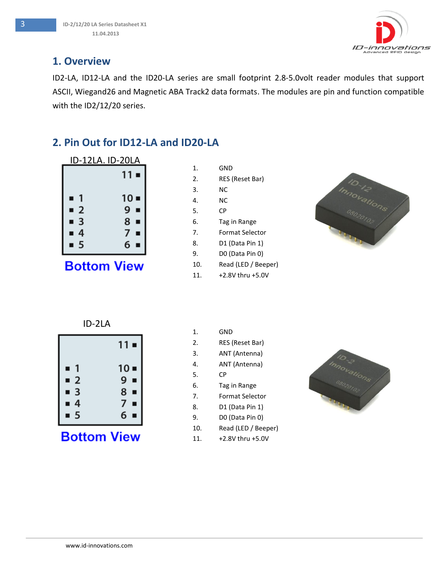

#### <span id="page-2-0"></span>**1. Overview**

ID2-LA, ID12-LA and the ID20-LA series are small footprint 2.8-5.0volt reader modules that support ASCII, Wiegand26 and Magnetic ABA Track2 data formats. The modules are pin and function compatible with the ID2/12/20 series.

### <span id="page-2-1"></span>**2. Pin Out for ID12-LA and ID20-LA**

<span id="page-2-2"></span>

|                         | ID-12LA. ID-20LA   |
|-------------------------|--------------------|
|                         | $11 -$             |
| -1<br>Ξ                 | $10 -$             |
| $-2$                    | $9 -$              |
| $\blacksquare$ 3<br>■ 4 | $8 -$<br>7∎        |
| $\blacksquare$ 5        | 6∎                 |
|                         | <b>Bottom View</b> |

| 2.  | RES (Reset Bar)     |
|-----|---------------------|
| 3.  | ΝC                  |
| 4.  | ΝC                  |
| 5.  | СP                  |
| 6.  | Tag in Range        |
| 7.  | Format Selector     |
| 8.  | D1 (Data Pin 1)     |
| 9.  | DO (Data Pin 0)     |
| 10. | Read (LED / Beeper) |
| 11. | +2.8V thru +5.0V    |

1. GND



ID-2LA

<span id="page-2-3"></span>

**Bottom View** 

1. GND 2. RES (Reset Bar) 3. ANT (Antenna) 4. ANT (Antenna) 5. CP 6. Tag in Range 7. Format Selector 8. D1 (Data Pin 1) 9. D0 (Data Pin 0) 10. Read (LED / Beeper)



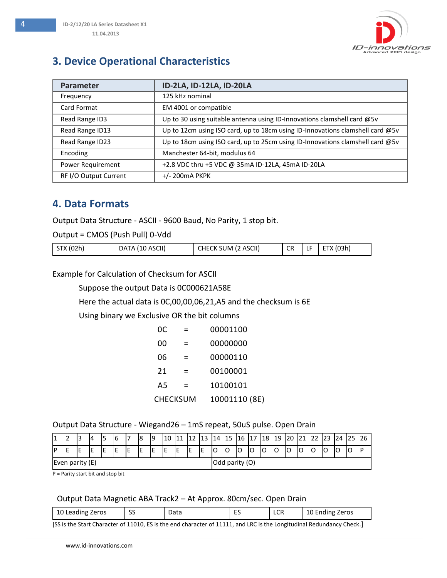### <span id="page-3-0"></span>**3. Device Operational Characteristics**

| Parameter             | ID-2LA, ID-12LA, ID-20LA                                                        |
|-----------------------|---------------------------------------------------------------------------------|
| Frequency             | 125 kHz nominal                                                                 |
| Card Format           | EM 4001 or compatible                                                           |
| Read Range ID3        | Up to 30 using suitable antenna using ID-Innovations clamshell card @5v         |
| Read Range ID13       | Up to 12cm using ISO card, up to 18cm using ID-Innovations clamshell card $@5v$ |
| Read Range ID23       | Up to 18cm using ISO card, up to 25cm using ID-Innovations clamshell card @5v   |
| Encoding              | Manchester 64-bit, modulus 64                                                   |
| Power Requirement     | +2.8 VDC thru +5 VDC @ 35mA ID-12LA, 45mA ID-20LA                               |
| RF I/O Output Current | $+/- 200$ mA PKPK                                                               |

#### <span id="page-3-1"></span>**4. Data Formats**

Output Data Structure - ASCII - 9600 Baud, No Parity, 1 stop bit.

Output = CMOS (Push Pull) 0-Vdd

| STX (02h)<br>DATA (10 ASCII) | CHECK SUM (2 ASCII) | <b>CR</b> | ⊔ | ETX (03h) |
|------------------------------|---------------------|-----------|---|-----------|
|------------------------------|---------------------|-----------|---|-----------|

Example for Calculation of Checksum for ASCII

Suppose the output Data is 0C000621A58E

Here the actual data is 0C,00,00,06,21,A5 and the checksum is 6E

Using binary we Exclusive OR the bit columns

| 0C              | $\equiv$ | 00001100      |
|-----------------|----------|---------------|
| 00              |          | 00000000      |
| 06              | =        | 00000110      |
| 21              |          | 00100001      |
| A5              | =        | 10100101      |
| <b>CHECKSUM</b> |          | 10001110 (8E) |

#### Output Data Structure - Wiegand26 – 1mS repeat, 50uS pulse. Open Drain

| <b>1</b>        | -  | 13 | 4 |  | 6 |                | 8 | 19 | 10 |   | 12 | 12 | 14 | 115 | <b>16</b> | 17 | 18 | $ 19\rangle$ | 20 | 21 |    | 24 |    |  |
|-----------------|----|----|---|--|---|----------------|---|----|----|---|----|----|----|-----|-----------|----|----|--------------|----|----|----|----|----|--|
| IP              | ΙE | IЕ |   |  |   | E              | Ε | ΙE | ΙE | E | ΙE | -  | lO | lO  | lO        | IO | lO | lC           | lO | IC | lo |    | lC |  |
| Even parity (E) |    |    |   |  |   | Odd parity (O) |   |    |    |   |    |    |    |     |           |    |    |              |    |    |    |    |    |  |

P = Parity start bit and stop bit

#### Output Data Magnetic ABA Track2 – At Approx. 80cm/sec. Open Drain

|  | 10 Leading<br>`Zeros | $\sim$<br>۔ ب | Ddld | -- | LCR | Zeros<br>Ending<br>10 ° |
|--|----------------------|---------------|------|----|-----|-------------------------|
|--|----------------------|---------------|------|----|-----|-------------------------|

[SS is the Start Character of 11010, ES is the end character of 11111, and LRC is the Longitudinal Redundancy Check.]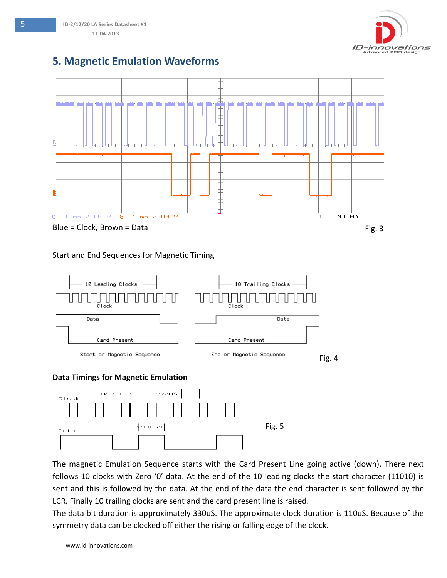

# <span id="page-4-0"></span>**5. Magnetic Emulation Waveforms**

5 **ID-2/12/20 LA Series Datasheet X1 11.04.2013**



#### Start and End Sequences for Magnetic Timing





The magnetic Emulation Sequence starts with the Card Present Line going active (down). There next follows 10 clocks with Zero '0' data. At the end of the 10 leading clocks the start character (11010) is sent and this is followed by the data. At the end of the data the end character is sent followed by the LCR. Finally 10 trailing clocks are sent and the card present line is raised.

The data bit duration is approximately 330uS. The approximate clock duration is 110uS. Because of the symmetry data can be clocked off either the rising or falling edge of the clock.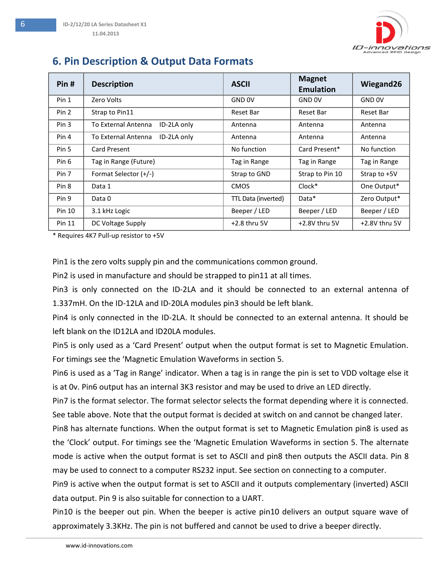

### <span id="page-5-0"></span>**6. Pin Description & Output Data Formats**

| Pin#   | <b>Description</b>                 | <b>ASCII</b>        | <b>Magnet</b><br><b>Emulation</b> | Wiegand26     |
|--------|------------------------------------|---------------------|-----------------------------------|---------------|
| Pin 1  | Zero Volts                         | GND 0V              | GND <sub>OV</sub>                 | GND 0V        |
| Pin 2  | Strap to Pin11<br>Reset Bar        |                     | <b>Reset Bar</b>                  | Reset Bar     |
| Pin 3  | ID-2LA only<br>To External Antenna | Antenna             | Antenna                           | Antenna       |
| Pin 4  | ID-2LA only<br>To External Antenna | Antenna             | Antenna                           | Antenna       |
| Pin 5  | Card Present                       | No function         | Card Present*                     | No function   |
| Pin 6  | Tag in Range (Future)              | Tag in Range        | Tag in Range                      | Tag in Range  |
| Pin 7  | Format Selector (+/-)              | Strap to GND        | Strap to Pin 10                   | Strap to +5V  |
| Pin 8  | Data 1                             | <b>CMOS</b>         | $Clock*$                          | One Output*   |
| Pin 9  | Data 0                             | TTL Data (inverted) | Data*                             | Zero Output*  |
| Pin 10 | 3.1 kHz Logic                      | Beeper / LED        | Beeper / LED                      | Beeper / LED  |
| Pin 11 | DC Voltage Supply                  | $+2.8$ thru 5V      | +2.8V thru 5V                     | +2.8V thru 5V |

\* Requires 4K7 Pull-up resistor to +5V

Pin1 is the zero volts supply pin and the communications common ground.

Pin2 is used in manufacture and should be strapped to pin11 at all times.

Pin3 is only connected on the ID-2LA and it should be connected to an external antenna of 1.337mH. On the ID-12LA and ID-20LA modules pin3 should be left blank.

Pin4 is only connected in the ID-2LA. It should be connected to an external antenna. It should be left blank on the ID12LA and ID20LA modules.

Pin5 is only used as a 'Card Present' output when the output format is set to Magnetic Emulation. For timings see the 'Magnetic Emulation Waveforms in section 5.

Pin6 is used as a 'Tag in Range' indicator. When a tag is in range the pin is set to VDD voltage else it is at 0v. Pin6 output has an internal 3K3 resistor and may be used to drive an LED directly.

Pin7 is the format selector. The format selector selects the format depending where it is connected. See table above. Note that the output format is decided at switch on and cannot be changed later.

Pin8 has alternate functions. When the output format is set to Magnetic Emulation pin8 is used as the 'Clock' output. For timings see the 'Magnetic Emulation Waveforms in section 5. The alternate mode is active when the output format is set to ASCII and pin8 then outputs the ASCII data. Pin 8 may be used to connect to a computer RS232 input. See section on connecting to a computer.

Pin9 is active when the output format is set to ASCII and it outputs complementary (inverted) ASCII data output. Pin 9 is also suitable for connection to a UART.

Pin10 is the beeper out pin. When the beeper is active pin10 delivers an output square wave of approximately 3.3KHz. The pin is not buffered and cannot be used to drive a beeper directly.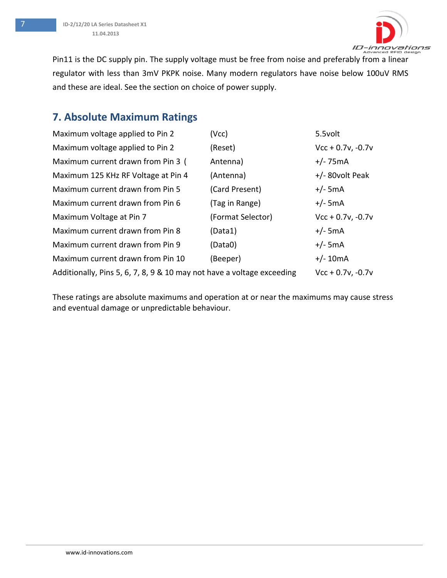

Pin11 is the DC supply pin. The supply voltage must be free from noise and preferably from a linear regulator with less than 3mV PKPK noise. Many modern regulators have noise below 100uV RMS and these are ideal. See the section on choice of power supply.

### <span id="page-6-0"></span>**7. Absolute Maximum Ratings**

| Maximum voltage applied to Pin 2                                       | (Vcc)             | 5.5volt             |
|------------------------------------------------------------------------|-------------------|---------------------|
| Maximum voltage applied to Pin 2                                       | (Reset)           | $Vcc + 0.7v, -0.7v$ |
| Maximum current drawn from Pin 3 (                                     | Antenna)          | $+/- 75mA$          |
| Maximum 125 KHz RF Voltage at Pin 4                                    | (Antenna)         | $+/-$ 80volt Peak   |
| Maximum current drawn from Pin 5                                       | (Card Present)    | $+/-$ 5mA           |
| Maximum current drawn from Pin 6                                       | (Tag in Range)    | $+/-$ 5mA           |
| Maximum Voltage at Pin 7                                               | (Format Selector) | $Vcc + 0.7v, -0.7v$ |
| Maximum current drawn from Pin 8                                       | (Data1)           | $+/-$ 5mA           |
| Maximum current drawn from Pin 9                                       | (Data0)           | $+/-$ 5mA           |
| Maximum current drawn from Pin 10                                      | (Beeper)          | $+/- 10mA$          |
| Additionally, Pins 5, 6, 7, 8, 9 & 10 may not have a voltage exceeding |                   | $Vcc + 0.7v, -0.7v$ |

These ratings are absolute maximums and operation at or near the maximums may cause stress and eventual damage or unpredictable behaviour.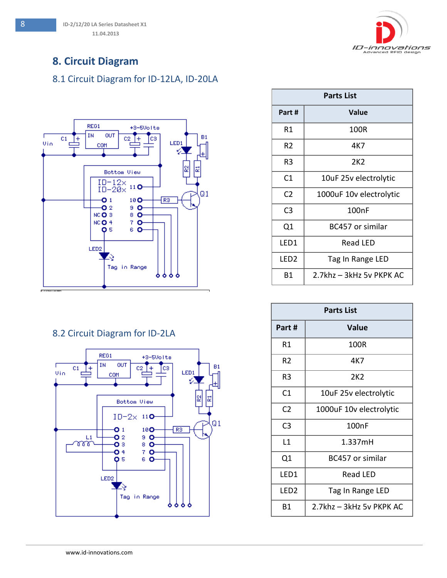

### <span id="page-7-0"></span>**8. Circuit Diagram**

#### <span id="page-7-1"></span>8.1 Circuit Diagram for ID-12LA, ID-20LA



#### <span id="page-7-2"></span>8.2 Circuit Diagram for ID-2LA



| <b>Parts List</b> |                          |  |  |  |  |
|-------------------|--------------------------|--|--|--|--|
| Part#             | Value                    |  |  |  |  |
| R1                | 100R                     |  |  |  |  |
| R2                | 4K7                      |  |  |  |  |
| R3                | 2K <sub>2</sub>          |  |  |  |  |
| C1                | 10uF 25v electrolytic    |  |  |  |  |
| C <sub>2</sub>    | 1000uF 10v electrolytic  |  |  |  |  |
| C3                | 100 <sub>n</sub> F       |  |  |  |  |
| Q1                | BC457 or similar         |  |  |  |  |
| LED1              | Read LED                 |  |  |  |  |
| LED <sub>2</sub>  | Tag In Range LED         |  |  |  |  |
| Β1                | 2.7khz - 3kHz 5v PKPK AC |  |  |  |  |

| <b>Parts List</b> |                          |  |  |  |  |  |
|-------------------|--------------------------|--|--|--|--|--|
| Part #            | <b>Value</b>             |  |  |  |  |  |
| R1                | 100R                     |  |  |  |  |  |
| R2                | 4K7                      |  |  |  |  |  |
| R3                | 2K <sub>2</sub>          |  |  |  |  |  |
| C1                | 10uF 25v electrolytic    |  |  |  |  |  |
| C <sub>2</sub>    | 1000uF 10v electrolytic  |  |  |  |  |  |
| C <sub>3</sub>    | 100nF                    |  |  |  |  |  |
| L1                | 1.337mH                  |  |  |  |  |  |
| Q1                | BC457 or similar         |  |  |  |  |  |
| LED1              | <b>Read LED</b>          |  |  |  |  |  |
| LED2              | Tag In Range LED         |  |  |  |  |  |
| Β1                | 2.7khz - 3kHz 5v PKPK AC |  |  |  |  |  |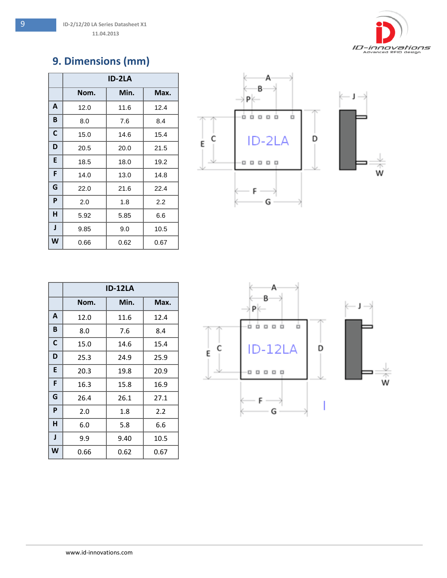

### <span id="page-8-0"></span>**9. Dimensions (mm)**

|   | <b>ID-2LA</b> |      |      |  |
|---|---------------|------|------|--|
|   | Nom.          | Min. | Max. |  |
| A | 12.0          | 11.6 | 12.4 |  |
| B | 8.0           | 7.6  | 8.4  |  |
| C | 15.0          | 14.6 | 15.4 |  |
| D | 20.5          | 20.0 | 21.5 |  |
| E | 18.5          | 18.0 | 19.2 |  |
| F | 14.0          | 13.0 | 14.8 |  |
| G | 22.0          | 21.6 | 22.4 |  |
| P | 2.0           | 1.8  | 2.2  |  |
| н | 5.92          | 5.85 | 6.6  |  |
| J | 9.85          | 9.0  | 10.5 |  |
| W | 0.66          | 0.62 | 0.67 |  |



|   | ID-12LA |      |      |
|---|---------|------|------|
|   | Nom.    | Min. | Max. |
| A | 12.0    | 11.6 | 12.4 |
| B | 8.0     | 7.6  | 8.4  |
| C | 15.0    | 14.6 | 15.4 |
| D | 25.3    | 24.9 | 25.9 |
| E | 20.3    | 19.8 | 20.9 |
| F | 16.3    | 15.8 | 16.9 |
| G | 26.4    | 26.1 | 27.1 |
| P | 2.0     | 1.8  | 2.2  |
| н | 6.0     | 5.8  | 6.6  |
| J | 9.9     | 9.40 | 10.5 |
| W | 0.66    | 0.62 | 0.67 |

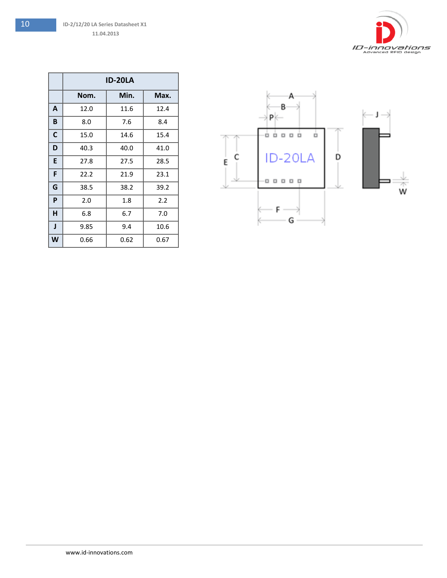

|              | <b>ID-20LA</b> |      |      |  |
|--------------|----------------|------|------|--|
|              | Nom.           | Min. | Max. |  |
| A            | 12.0           | 11.6 | 12.4 |  |
| B            | 8.0            | 7.6  | 8.4  |  |
| C            | 15.0           | 14.6 | 15.4 |  |
| D            | 40.3           | 40.0 | 41.0 |  |
| E            | 27.8           | 27.5 | 28.5 |  |
| F            | 22.2           | 21.9 | 23.1 |  |
| G            | 38.5           | 38.2 | 39.2 |  |
| P            | 2.0            | 1.8  | 2.2  |  |
| н            | 6.8            | 6.7  | 7.0  |  |
| $\mathbf{I}$ | 9.85           | 9.4  | 10.6 |  |
| W            | 0.66           | 0.62 | 0.67 |  |

<span id="page-9-0"></span>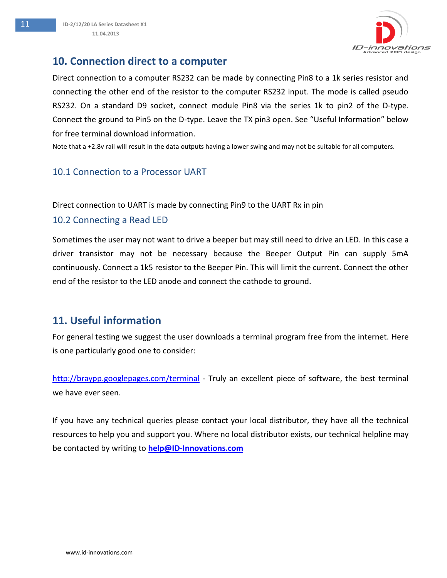#### **10. Connection direct to a computer**

Direct connection to a computer RS232 can be made by connecting Pin8 to a 1k series resistor and connecting the other end of the resistor to the computer RS232 input. The mode is called pseudo RS232. On a standard D9 socket, connect module Pin8 via the series 1k to pin2 of the D-type. Connect the ground to Pin5 on the D-type. Leave the TX pin3 open. See "Useful Information" below for free terminal download information.

Note that a +2.8v rail will result in the data outputs having a lower swing and may not be suitable for all computers.

#### <span id="page-10-0"></span>10.1 Connection to a Processor UART

Direct connection to UART is made by connecting Pin9 to the UART Rx in pin

#### <span id="page-10-1"></span>10.2 Connecting a Read LED

Sometimes the user may not want to drive a beeper but may still need to drive an LED. In this case a driver transistor may not be necessary because the Beeper Output Pin can supply 5mA continuously. Connect a 1k5 resistor to the Beeper Pin. This will limit the current. Connect the other end of the resistor to the LED anode and connect the cathode to ground.

#### <span id="page-10-2"></span>**11. Useful information**

For general testing we suggest the user downloads a terminal program free from the internet. Here is one particularly good one to consider:

<http://braypp.googlepages.com/terminal> - Truly an excellent piece of software, the best terminal we have ever seen.

If you have any technical queries please contact your local distributor, they have all the technical resources to help you and support you. Where no local distributor exists, our technical helpline may be contacted by writing to **[help@ID-Innovations.com](mailto:help@ID-Innovations.com)**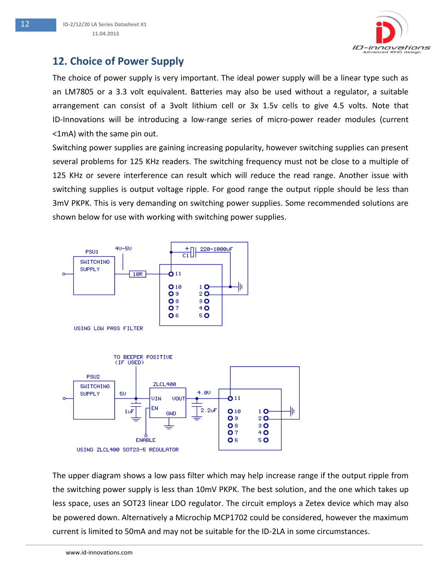### <span id="page-11-0"></span>**12. Choice of Power Supply**

The choice of power supply is very important. The ideal power supply will be a linear type such as an LM7805 or a 3.3 volt equivalent. Batteries may also be used without a regulator, a suitable arrangement can consist of a 3volt lithium cell or 3x 1.5v cells to give 4.5 volts. Note that ID-Innovations will be introducing a low-range series of micro-power reader modules (current <1mA) with the same pin out.

Switching power supplies are gaining increasing popularity, however switching supplies can present several problems for 125 KHz readers. The switching frequency must not be close to a multiple of 125 KHz or severe interference can result which will reduce the read range. Another issue with switching supplies is output voltage ripple. For good range the output ripple should be less than 3mV PKPK. This is very demanding on switching power supplies. Some recommended solutions are shown below for use with working with switching power supplies.





The upper diagram shows a low pass filter which may help increase range if the output ripple from the switching power supply is less than 10mV PKPK. The best solution, and the one which takes up less space, uses an SOT23 linear LDO regulator. The circuit employs a Zetex device which may also be powered down. Alternatively a Microchip MCP1702 could be considered, however the maximum current is limited to 50mA and may not be suitable for the ID-2LA in some circumstances.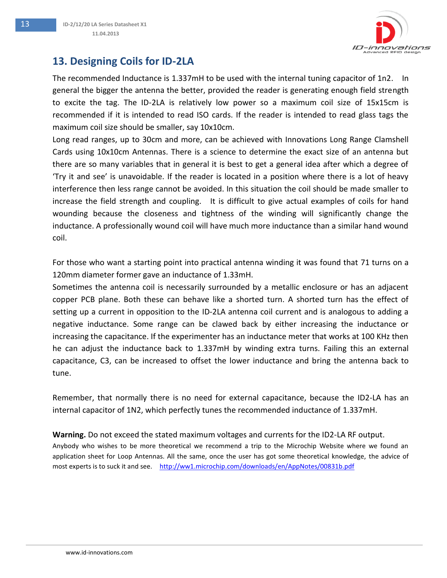

### <span id="page-12-0"></span>**13. Designing Coils for ID-2LA**

The recommended Inductance is 1.337mH to be used with the internal tuning capacitor of 1n2. In general the bigger the antenna the better, provided the reader is generating enough field strength to excite the tag. The ID-2LA is relatively low power so a maximum coil size of 15x15cm is recommended if it is intended to read ISO cards. If the reader is intended to read glass tags the maximum coil size should be smaller, say 10x10cm.

Long read ranges, up to 30cm and more, can be achieved with Innovations Long Range Clamshell Cards using 10x10cm Antennas. There is a science to determine the exact size of an antenna but there are so many variables that in general it is best to get a general idea after which a degree of 'Try it and see' is unavoidable. If the reader is located in a position where there is a lot of heavy interference then less range cannot be avoided. In this situation the coil should be made smaller to increase the field strength and coupling. It is difficult to give actual examples of coils for hand wounding because the closeness and tightness of the winding will significantly change the inductance. A professionally wound coil will have much more inductance than a similar hand wound coil.

For those who want a starting point into practical antenna winding it was found that 71 turns on a 120mm diameter former gave an inductance of 1.33mH.

Sometimes the antenna coil is necessarily surrounded by a metallic enclosure or has an adjacent copper PCB plane. Both these can behave like a shorted turn. A shorted turn has the effect of setting up a current in opposition to the ID-2LA antenna coil current and is analogous to adding a negative inductance. Some range can be clawed back by either increasing the inductance or increasing the capacitance. If the experimenter has an inductance meter that works at 100 KHz then he can adjust the inductance back to 1.337mH by winding extra turns. Failing this an external capacitance, C3, can be increased to offset the lower inductance and bring the antenna back to tune.

Remember, that normally there is no need for external capacitance, because the ID2-LA has an internal capacitor of 1N2, which perfectly tunes the recommended inductance of 1.337mH.

#### **Warning.** Do not exceed the stated maximum voltages and currents for the ID2-LA RF output.

Anybody who wishes to be more theoretical we recommend a trip to the Microchip Website where we found an application sheet for Loop Antennas. All the same, once the user has got some theoretical knowledge, the advice of most experts is to suck it and see. <http://ww1.microchip.com/downloads/en/AppNotes/00831b.pdf>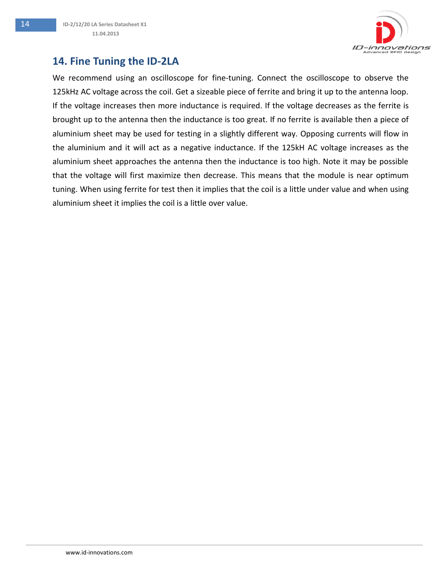

### <span id="page-13-0"></span>**14. Fine Tuning the ID-2LA**

We recommend using an oscilloscope for fine-tuning. Connect the oscilloscope to observe the 125kHz AC voltage across the coil. Get a sizeable piece of ferrite and bring it up to the antenna loop. If the voltage increases then more inductance is required. If the voltage decreases as the ferrite is brought up to the antenna then the inductance is too great. If no ferrite is available then a piece of aluminium sheet may be used for testing in a slightly different way. Opposing currents will flow in the aluminium and it will act as a negative inductance. If the 125kH AC voltage increases as the aluminium sheet approaches the antenna then the inductance is too high. Note it may be possible that the voltage will first maximize then decrease. This means that the module is near optimum tuning. When using ferrite for test then it implies that the coil is a little under value and when using aluminium sheet it implies the coil is a little over value.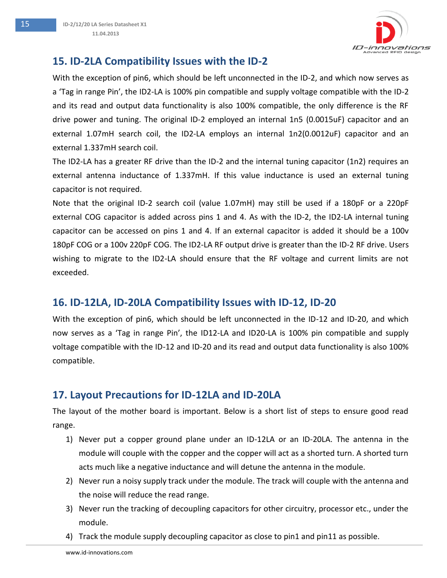

### <span id="page-14-0"></span>**15. ID-2LA Compatibility Issues with the ID-2**

With the exception of pin6, which should be left unconnected in the ID-2, and which now serves as a 'Tag in range Pin', the ID2-LA is 100% pin compatible and supply voltage compatible with the ID-2 and its read and output data functionality is also 100% compatible, the only difference is the RF drive power and tuning. The original ID-2 employed an internal 1n5 (0.0015uF) capacitor and an external 1.07mH search coil, the ID2-LA employs an internal 1n2(0.0012uF) capacitor and an external 1.337mH search coil.

The ID2-LA has a greater RF drive than the ID-2 and the internal tuning capacitor (1n2) requires an external antenna inductance of 1.337mH. If this value inductance is used an external tuning capacitor is not required.

Note that the original ID-2 search coil (value 1.07mH) may still be used if a 180pF or a 220pF external COG capacitor is added across pins 1 and 4. As with the ID-2, the ID2-LA internal tuning capacitor can be accessed on pins 1 and 4. If an external capacitor is added it should be a 100v 180pF COG or a 100v 220pF COG. The ID2-LA RF output drive is greater than the ID-2 RF drive. Users wishing to migrate to the ID2-LA should ensure that the RF voltage and current limits are not exceeded.

#### <span id="page-14-1"></span>**16. ID-12LA, ID-20LA Compatibility Issues with ID-12, ID-20**

With the exception of pin6, which should be left unconnected in the ID-12 and ID-20, and which now serves as a 'Tag in range Pin', the ID12-LA and ID20-LA is 100% pin compatible and supply voltage compatible with the ID-12 and ID-20 and its read and output data functionality is also 100% compatible.

### <span id="page-14-2"></span>**17. Layout Precautions for ID-12LA and ID-20LA**

The layout of the mother board is important. Below is a short list of steps to ensure good read range.

- 1) Never put a copper ground plane under an ID-12LA or an ID-20LA. The antenna in the module will couple with the copper and the copper will act as a shorted turn. A shorted turn acts much like a negative inductance and will detune the antenna in the module.
- 2) Never run a noisy supply track under the module. The track will couple with the antenna and the noise will reduce the read range.
- 3) Never run the tracking of decoupling capacitors for other circuitry, processor etc., under the module.
- 4) Track the module supply decoupling capacitor as close to pin1 and pin11 as possible.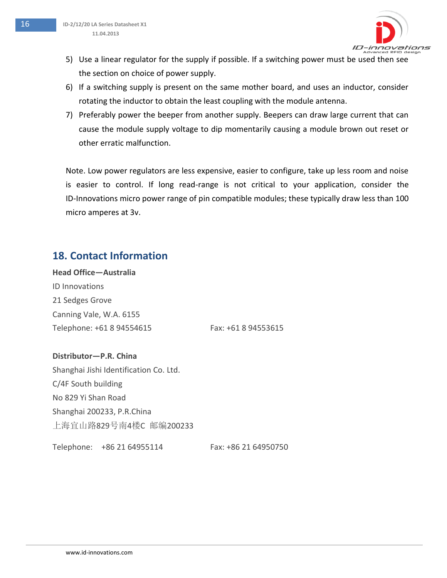

- 5) Use a linear regulator for the supply if possible. If a switching power must be used then see the section on choice of power supply.
- 6) If a switching supply is present on the same mother board, and uses an inductor, consider rotating the inductor to obtain the least coupling with the module antenna.
- 7) Preferably power the beeper from another supply. Beepers can draw large current that can cause the module supply voltage to dip momentarily causing a module brown out reset or other erratic malfunction.

Note. Low power regulators are less expensive, easier to configure, take up less room and noise is easier to control. If long read-range is not critical to your application, consider the ID-Innovations micro power range of pin compatible modules; these typically draw less than 100 micro amperes at 3v.

### <span id="page-15-0"></span>**18. Contact Information**

**Head Office—Australia** ID Innovations 21 Sedges Grove Canning Vale, W.A. 6155 Telephone: +61 8 94554615 Fax: +61 8 94553615

#### **Distributor—P.R. China**

Shanghai Jishi Identification Co. Ltd. C/4F South building No 829 Yi Shan Road Shanghai 200233, P.R.China 上海宜山路829号南4楼C 邮编200233

Telephone: +86 21 64955114 Fax: +86 21 64950750